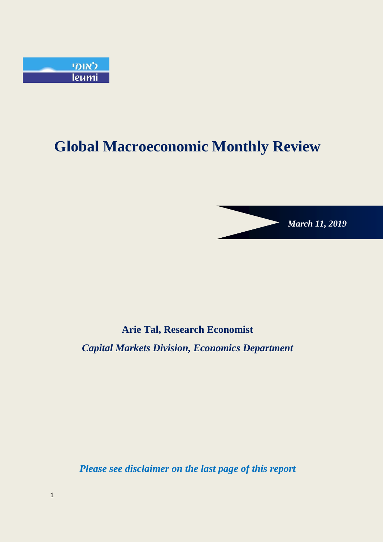

# **Global Macroeconomic Monthly Review**



# **Arie Tal, Research Economist**

*Capital Markets Division, Economics Department*

*Please see disclaimer on the last page of this report*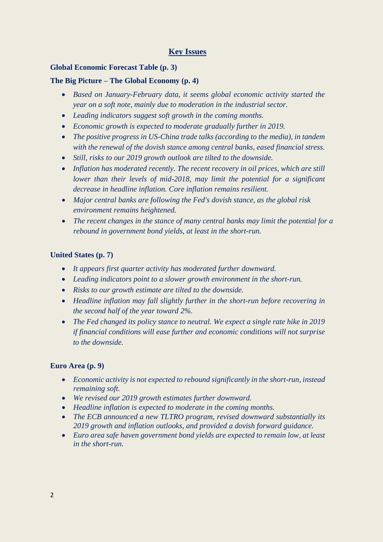# **Key Issues**

#### **Global Economic Forecast Table (p. 3)**

#### **The Big Picture – The Global Economy (p. 4)**

- *Based on January-February data, it seems global economic activity started the year on a soft note, mainly due to moderation in the industrial sector.*
- *Leading indicators suggest soft growth in the coming months.*
- *Economic growth is expected to moderate gradually further in 2019.*
- *The positive progress in US-China trade talks (according to the media), in tandem with the renewal of the dovish stance among central banks, eased financial stress.*
- *Still, risks to our 2019 growth outlook are tilted to the downside.*
- *Inflation has moderated recently. The recent recovery in oil prices, which are still lower than their levels of mid-2018, may limit the potential for a significant decrease in headline inflation. Core inflation remains resilient.*
- *Major central banks are following the Fed's dovish stance, as the global risk environment remains heightened.*
- *The recent changes in the stance of many central banks may limit the potential for a rebound in government bond yields, at least in the short-run.*

# **United States (p. 7)**

- *It appears first quarter activity has moderated further downward.*
- *Leading indicators point to a slower growth environment in the short-run.*
- *Risks to our growth estimate are tilted to the downside.*
- *Headline inflation may fall slightly further in the short-run before recovering in the second half of the year toward 2%.*
- *The Fed changed its policy stance to neutral. We expect a single rate hike in 2019 if financial conditions will ease further and economic conditions will not surprise to the downside.*

# **Euro Area (p. 9)**

- *Economic activity is not expected to rebound significantly in the short-run, instead remaining soft.*
- *We revised our 2019 growth estimates further downward.*
- *Headline inflation is expected to moderate in the coming months.*
- *The ECB announced a new TLTRO program, revised downward substantially its 2019 growth and inflation outlooks, and provided a dovish forward guidance.*
- *Euro area safe haven government bond yields are expected to remain low, at least in the short-run.*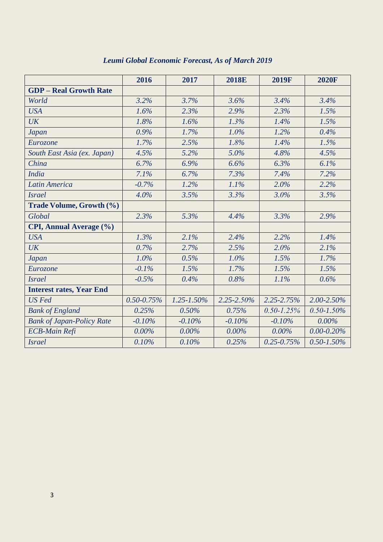|                                  | 2016            | 2017            | <b>2018E</b> | <b>2019F</b>    | <b>2020F</b>    |
|----------------------------------|-----------------|-----------------|--------------|-----------------|-----------------|
| <b>GDP</b> - Real Growth Rate    |                 |                 |              |                 |                 |
| World                            | 3.2%            | 3.7%            | 3.6%         | 3.4%            | 3.4%            |
| <b>USA</b>                       | 1.6%            | 2.3%            | 2.9%         | 2.3%            | 1.5%            |
| <b>UK</b>                        | 1.8%            | 1.6%            | 1.3%         | 1.4%            | 1.5%            |
| <b>Japan</b>                     | 0.9%            | 1.7%            | 1.0%         | 1.2%            | 0.4%            |
| Eurozone                         | 1.7%            | 2.5%            | 1.8%         | 1.4%            | 1.5%            |
| South East Asia (ex. Japan)      | 4.5%            | 5.2%            | 5.0%         | 4.8%            | 4.5%            |
| China                            | 6.7%            | 6.9%            | 6.6%         | 6.3%            | 6.1%            |
| <b>India</b>                     | 7.1%            | 6.7%            | 7.3%         | 7.4%            | 7.2%            |
| <b>Latin America</b>             | $-0.7%$         | 1.2%            | 1.1%         | 2.0%            | 2.2%            |
| <b>Israel</b>                    | 4.0%            | 3.5%            | 3.3%         | 3.0%            | 3.5%            |
| Trade Volume, Growth (%)         |                 |                 |              |                 |                 |
| Global                           | 2.3%            | 5.3%            | 4.4%         | 3.3%            | 2.9%            |
| CPI, Annual Average (%)          |                 |                 |              |                 |                 |
| <b>USA</b>                       | 1.3%            | 2.1%            | 2.4%         | 2.2%            | 1.4%            |
| <b>UK</b>                        | 0.7%            | 2.7%            | 2.5%         | 2.0%            | 2.1%            |
| <b>Japan</b>                     | 1.0%            | 0.5%            | 1.0%         | 1.5%            | 1.7%            |
| Eurozone                         | $-0.1%$         | 1.5%            | 1.7%         | 1.5%            | 1.5%            |
| <b>Israel</b>                    | $-0.5%$         | 0.4%            | 0.8%         | 1.1%            | 0.6%            |
| <b>Interest rates, Year End</b>  |                 |                 |              |                 |                 |
| <b>US</b> Fed                    | $0.50 - 0.75\%$ | $1.25 - 1.50\%$ | 2.25-2.50%   | 2.25-2.75%      | 2.00-2.50%      |
| <b>Bank of England</b>           | 0.25%           | 0.50%           | 0.75%        | $0.50 - 1.25\%$ | $0.50 - 1.50\%$ |
| <b>Bank of Japan-Policy Rate</b> | $-0.10%$        | $-0.10%$        | $-0.10%$     | $-0.10%$        | $0.00\%$        |
| <b>ECB-Main Refi</b>             | $0.00\%$        | $0.00\%$        | $0.00\%$     | $0.00\%$        | $0.00 - 0.20\%$ |
| <b>Israel</b>                    | 0.10%           | 0.10%           | 0.25%        | $0.25 - 0.75\%$ | $0.50 - 1.50\%$ |

# *Leumi Global Economic Forecast, As of March 2019*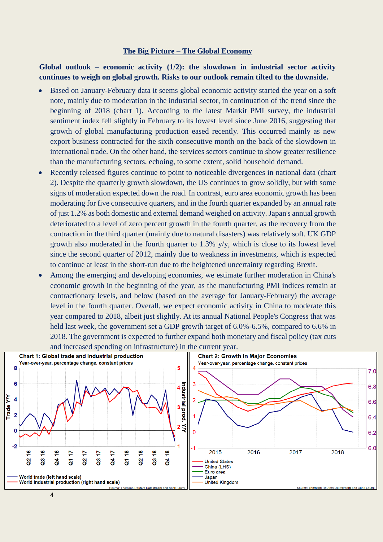#### **The Big Picture – The Global Economy**

# **Global outlook – economic activity (1/2): the slowdown in industrial sector activity continues to weigh on global growth. Risks to our outlook remain tilted to the downside.**

- Based on January-February data it seems global economic activity started the year on a soft note, mainly due to moderation in the industrial sector, in continuation of the trend since the beginning of 2018 (chart 1). According to the latest Markit PMI survey, the industrial sentiment index fell slightly in February to its lowest level since June 2016, suggesting that growth of global manufacturing production eased recently. This occurred mainly as new export business contracted for the sixth consecutive month on the back of the slowdown in international trade. On the other hand, the services sectors continue to show greater resilience than the manufacturing sectors, echoing, to some extent, solid household demand.
- Recently released figures continue to point to noticeable divergences in national data (chart 2). Despite the quarterly growth slowdown, the US continues to grow solidly, but with some signs of moderation expected down the road. In contrast, euro area economic growth has been moderating for five consecutive quarters, and in the fourth quarter expanded by an annual rate of just 1.2% as both domestic and external demand weighed on activity.Japan's annual growth deteriorated to a level of zero percent growth in the fourth quarter, as the recovery from the contraction in the third quarter (mainly due to natural disasters) was relatively soft. UK GDP growth also moderated in the fourth quarter to 1.3% y/y, which is close to its lowest level since the second quarter of 2012, mainly due to weakness in investments, which is expected to continue at least in the short-run due to the heightened uncertainty regarding Brexit.
- Among the emerging and developing economies, we estimate further moderation in China's economic growth in the beginning of the year, as the manufacturing PMI indices remain at contractionary levels, and below (based on the average for January-February) the average level in the fourth quarter. Overall, we expect economic activity in China to moderate this year compared to 2018, albeit just slightly. At its annual National People's Congress that was held last week, the government set a GDP growth target of 6.0%-6.5%, compared to 6.6% in 2018. The government is expected to further expand both monetary and fiscal policy (tax cuts and increased spending on infrastructure) in the current year.

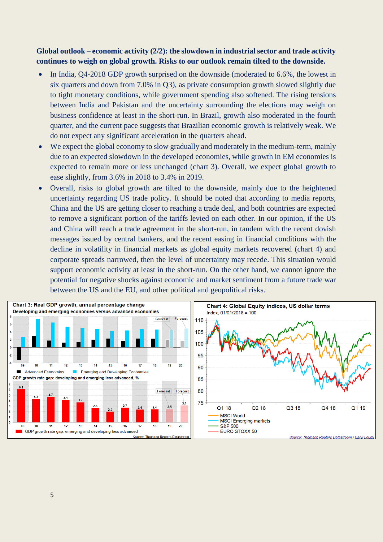# **Global outlook – economic activity (2/2): the slowdown in industrial sector and trade activity continues to weigh on global growth. Risks to our outlook remain tilted to the downside.**

- In India, Q4-2018 GDP growth surprised on the downside (moderated to 6.6%, the lowest in six quarters and down from 7.0% in Q3), as private consumption growth slowed slightly due to tight monetary conditions, while government spending also softened. The rising tensions between India and Pakistan and the uncertainty surrounding the elections may weigh on business confidence at least in the short-run. In Brazil, growth also moderated in the fourth quarter, and the current pace suggests that Brazilian economic growth is relatively weak. We do not expect any significant acceleration in the quarters ahead.
- We expect the global economy to slow gradually and moderately in the medium-term, mainly due to an expected slowdown in the developed economies, while growth in EM economies is expected to remain more or less unchanged (chart 3). Overall, we expect global growth to ease slightly, from 3.6% in 2018 to 3.4% in 2019.
- Overall, risks to global growth are tilted to the downside, mainly due to the heightened uncertainty regarding US trade policy. It should be noted that according to media reports, China and the US are getting closer to reaching a trade deal, and both countries are expected to remove a significant portion of the tariffs levied on each other. In our opinion, if the US and China will reach a trade agreement in the short-run, in tandem with the recent dovish messages issued by central bankers, and the recent easing in financial conditions with the decline in volatility in financial markets as global equity markets recovered (chart 4) and corporate spreads narrowed, then the level of uncertainty may recede. This situation would support economic activity at least in the short-run. On the other hand, we cannot ignore the potential for negative shocks against economic and market sentiment from a future trade war between the US and the EU, and other political and geopolitical risks.

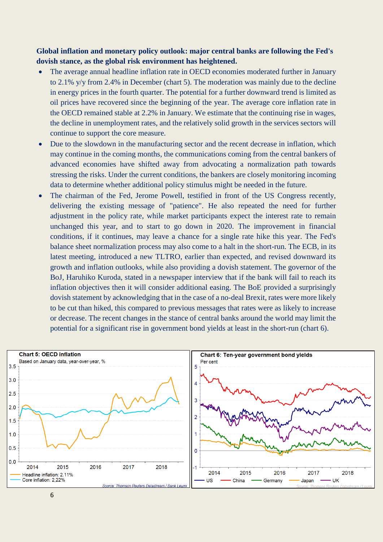**Global inflation and monetary policy outlook: major central banks are following the Fed's dovish stance, as the global risk environment has heightened.**

- The average annual headline inflation rate in OECD economies moderated further in January to 2.1% y/y from 2.4% in December (chart 5). The moderation was mainly due to the decline in energy prices in the fourth quarter. The potential for a further downward trend is limited as oil prices have recovered since the beginning of the year. The average core inflation rate in the OECD remained stable at 2.2% in January. We estimate that the continuing rise in wages, the decline in unemployment rates, and the relatively solid growth in the services sectors will continue to support the core measure.
- Due to the slowdown in the manufacturing sector and the recent decrease in inflation, which may continue in the coming months, the communications coming from the central bankers of advanced economies have shifted away from advocating a normalization path towards stressing the risks. Under the current conditions, the bankers are closely monitoring incoming data to determine whether additional policy stimulus might be needed in the future.
- The chairman of the Fed, Jerome Powell, testified in front of the US Congress recently, delivering the existing message of "patience". He also repeated the need for further adjustment in the policy rate, while market participants expect the interest rate to remain unchanged this year, and to start to go down in 2020. The improvement in financial conditions, if it continues, may leave a chance for a single rate hike this year. The Fed's balance sheet normalization process may also come to a halt in the short-run. The ECB, in its latest meeting, introduced a new TLTRO, earlier than expected, and revised downward its growth and inflation outlooks, while also providing a dovish statement. The governor of the BoJ, Haruhiko Kuroda, stated in a newspaper interview that if the bank will fail to reach its inflation objectives then it will consider additional easing. The BoE provided a surprisingly dovish statement by acknowledging that in the case of a no-deal Brexit, rates were more likely to be cut than hiked, this compared to previous messages that rates were as likely to increase or decrease. The recent changes in the stance of central banks around the world may limit the potential for a significant rise in government bond yields at least in the short-run (chart 6).

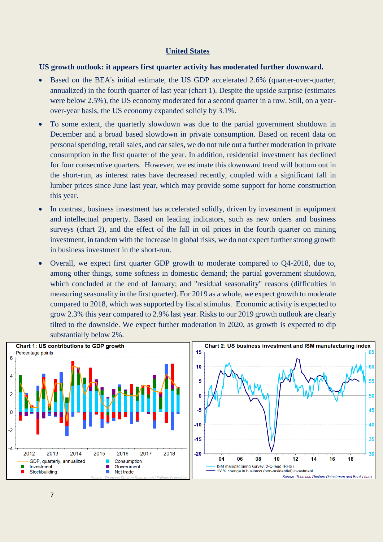#### **United States**

#### **US growth outlook: it appears first quarter activity has moderated further downward.**

- Based on the BEA's initial estimate, the US GDP accelerated 2.6% (quarter-over-quarter, annualized) in the fourth quarter of last year (chart 1). Despite the upside surprise (estimates were below 2.5%), the US economy moderated for a second quarter in a row. Still, on a yearover-year basis, the US economy expanded solidly by 3.1%.
- To some extent, the quarterly slowdown was due to the partial government shutdown in December and a broad based slowdown in private consumption. Based on recent data on personal spending, retail sales, and car sales, we do not rule out a further moderation in private consumption in the first quarter of the year. In addition, residential investment has declined for four consecutive quarters. However, we estimate this downward trend will bottom out in the short-run, as interest rates have decreased recently, coupled with a significant fall in lumber prices since June last year, which may provide some support for home construction this year.
- In contrast, business investment has accelerated solidly, driven by investment in equipment and intellectual property. Based on leading indicators, such as new orders and business surveys (chart 2), and the effect of the fall in oil prices in the fourth quarter on mining investment, in tandem with the increase in global risks, we do not expect further strong growth in business investment in the short-run.
- Overall, we expect first quarter GDP growth to moderate compared to Q4-2018, due to, among other things, some softness in domestic demand; the partial government shutdown, which concluded at the end of January; and "residual seasonality" reasons (difficulties in measuring seasonality in the first quarter). For 2019 as a whole, we expect growth to moderate compared to 2018, which was supported by fiscal stimulus. Economic activity is expected to grow 2.3% this year compared to 2.9% last year. Risks to our 2019 growth outlook are clearly tilted to the downside. We expect further moderation in 2020, as growth is expected to dip substantially below 2%.

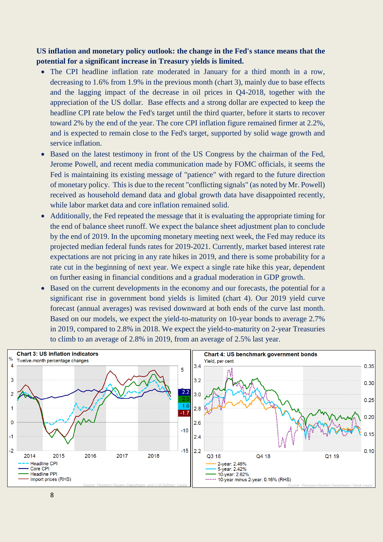**US inflation and monetary policy outlook: the change in the Fed's stance means that the potential for a significant increase in Treasury yields is limited.** 

- The CPI headline inflation rate moderated in January for a third month in a row, decreasing to 1.6% from 1.9% in the previous month (chart 3), mainly due to base effects and the lagging impact of the decrease in oil prices in Q4-2018, together with the appreciation of the US dollar. Base effects and a strong dollar are expected to keep the headline CPI rate below the Fed's target until the third quarter, before it starts to recover toward 2% by the end of the year. The core CPI inflation figure remained firmer at 2.2%, and is expected to remain close to the Fed's target, supported by solid wage growth and service inflation.
- Based on the latest testimony in front of the US Congress by the chairman of the Fed, Jerome Powell, and recent media communication made by FOMC officials, it seems the Fed is maintaining its existing message of "patience" with regard to the future direction of monetary policy. This is due to the recent "conflicting signals" (as noted by Mr. Powell) received as household demand data and global growth data have disappointed recently, while labor market data and core inflation remained solid.
- Additionally, the Fed repeated the message that it is evaluating the appropriate timing for the end of balance sheet runoff. We expect the balance sheet adjustment plan to conclude by the end of 2019. In the upcoming monetary meeting next week, the Fed may reduce its projected median federal funds rates for 2019-2021. Currently, market based interest rate expectations are not pricing in any rate hikes in 2019, and there is some probability for a rate cut in the beginning of next year. We expect a single rate hike this year, dependent on further easing in financial conditions and a gradual moderation in GDP growth.
- Based on the current developments in the economy and our forecasts, the potential for a significant rise in government bond yields is limited (chart 4). Our 2019 yield curve forecast (annual averages) was revised downward at both ends of the curve last month. Based on our models, we expect the yield-to-maturity on 10-year bonds to average 2.7% in 2019, compared to 2.8% in 2018. We expect the yield-to-maturity on 2-year Treasuries to climb to an average of 2.8% in 2019, from an average of 2.5% last year.

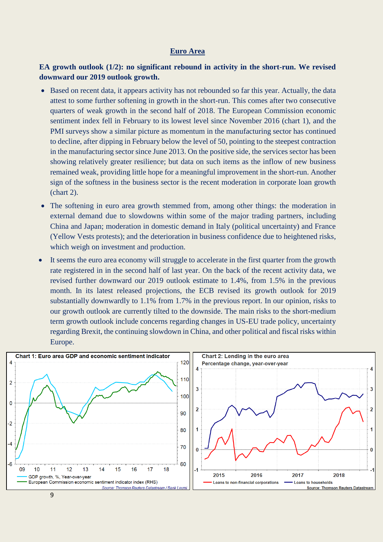#### **Euro Area**

# **EA growth outlook (1/2): no significant rebound in activity in the short-run. We revised downward our 2019 outlook growth.**

- Based on recent data, it appears activity has not rebounded so far this year. Actually, the data attest to some further softening in growth in the short-run. This comes after two consecutive quarters of weak growth in the second half of 2018. The European Commission economic sentiment index fell in February to its lowest level since November 2016 (chart 1), and the PMI surveys show a similar picture as momentum in the manufacturing sector has continued to decline, after dipping in February below the level of 50, pointing to the steepest contraction in the manufacturing sector since June 2013. On the positive side, the services sector has been showing relatively greater resilience; but data on such items as the inflow of new business remained weak, providing little hope for a meaningful improvement in the short-run. Another sign of the softness in the business sector is the recent moderation in corporate loan growth (chart 2).
- The softening in euro area growth stemmed from, among other things: the moderation in external demand due to slowdowns within some of the major trading partners, including China and Japan; moderation in domestic demand in Italy (political uncertainty) and France (Yellow Vests protests); and the deterioration in business confidence due to heightened risks, which weigh on investment and production.
- It seems the euro area economy will struggle to accelerate in the first quarter from the growth rate registered in in the second half of last year. On the back of the recent activity data, we revised further downward our 2019 outlook estimate to 1.4%, from 1.5% in the previous month. In its latest released projections, the ECB revised its growth outlook for 2019 substantially downwardly to 1.1% from 1.7% in the previous report. In our opinion, risks to our growth outlook are currently tilted to the downside. The main risks to the short-medium term growth outlook include concerns regarding changes in US-EU trade policy, uncertainty regarding Brexit, the continuing slowdown in China, and other political and fiscal risks within Europe.

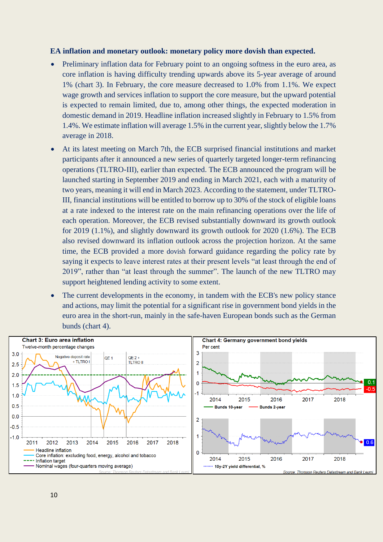#### **EA inflation and monetary outlook: monetary policy more dovish than expected.**

- Preliminary inflation data for February point to an ongoing softness in the euro area, as core inflation is having difficulty trending upwards above its 5-year average of around 1% (chart 3). In February, the core measure decreased to 1.0% from 1.1%. We expect wage growth and services inflation to support the core measure, but the upward potential is expected to remain limited, due to, among other things, the expected moderation in domestic demand in 2019. Headline inflation increased slightly in February to 1.5% from 1.4%. We estimate inflation will average 1.5% in the current year, slightly below the 1.7% average in 2018.
- At its latest meeting on March 7th, the ECB surprised financial institutions and market participants after it announced a new series of quarterly targeted longer-term refinancing operations (TLTRO-III), earlier than expected. The ECB announced the program will be launched starting in September 2019 and ending in March 2021, each with a maturity of two years, meaning it will end in March 2023. According to the statement, under TLTRO-III, financial institutions will be entitled to borrow up to 30% of the stock of eligible loans at a rate indexed to the interest rate on the main refinancing operations over the life of each operation. Moreover, the ECB revised substantially downward its growth outlook for 2019 (1.1%), and slightly downward its growth outlook for 2020 (1.6%). The ECB also revised downward its inflation outlook across the projection horizon. At the same time, the ECB provided a more dovish forward guidance regarding the policy rate by saying it expects to leave interest rates at their present levels "at least through the end of 2019", rather than "at least through the summer". The launch of the new TLTRO may support heightened lending activity to some extent.
- The current developments in the economy, in tandem with the ECB's new policy stance and actions, may limit the potential for a significant rise in government bond yields in the euro area in the short-run, mainly in the safe-haven European bonds such as the German bunds (chart 4).